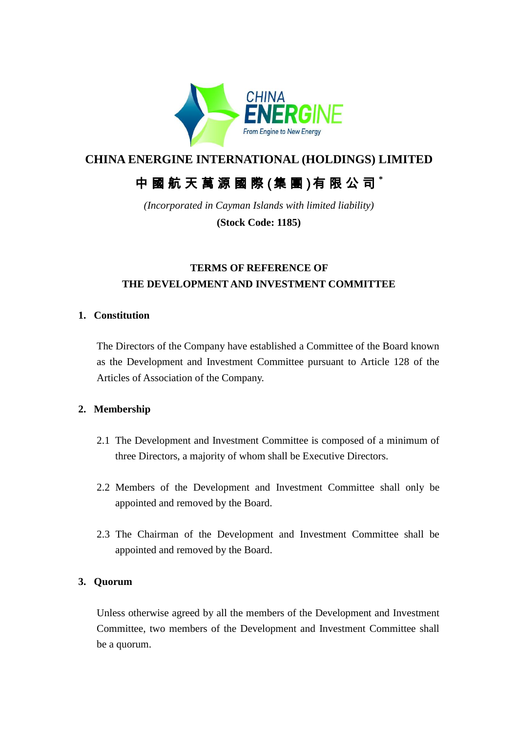

## **CHINA ENERGINE INTERNATIONAL (HOLDINGS) LIMITED**

# 中 國 航 天 萬 源 國 際 (集 團 )有 限 公 司 **\***

*(Incorporated in Cayman Islands with limited liability)*

**(Stock Code: 1185)**

## **TERMS OF REFERENCE OF THE DEVELOPMENT AND INVESTMENT COMMITTEE**

#### **1. Constitution**

The Directors of the Company have established a Committee of the Board known as the Development and Investment Committee pursuant to Article 128 of the Articles of Association of the Company.

#### **2. Membership**

- 2.1 The Development and Investment Committee is composed of a minimum of three Directors, a majority of whom shall be Executive Directors.
- 2.2 Members of the Development and Investment Committee shall only be appointed and removed by the Board.
- 2.3 The Chairman of the Development and Investment Committee shall be appointed and removed by the Board.

#### **3. Quorum**

Unless otherwise agreed by all the members of the Development and Investment Committee, two members of the Development and Investment Committee shall be a quorum.